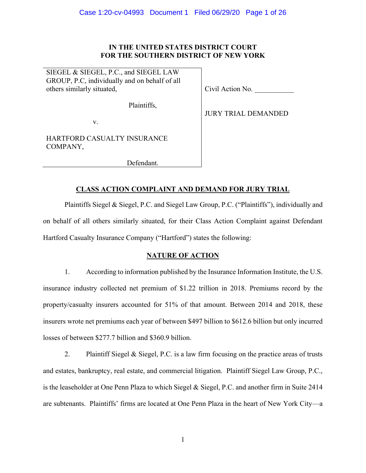## **IN THE UNITED STATES DISTRICT COURT FOR THE SOUTHERN DISTRICT OF NEW YORK**

SIEGEL & SIEGEL, P.C., and SIEGEL LAW GROUP, P.C, individually and on behalf of all others similarly situated,

Plaintiffs,

Civil Action No. \_\_\_\_\_\_\_\_\_\_\_

JURY TRIAL DEMANDED

v.

HARTFORD CASUALTY INSURANCE COMPANY,

Defendant.

# **CLASS ACTION COMPLAINT AND DEMAND FOR JURY TRIAL**

Plaintiffs Siegel & Siegel, P.C. and Siegel Law Group, P.C. ("Plaintiffs"), individually and on behalf of all others similarly situated, for their Class Action Complaint against Defendant Hartford Casualty Insurance Company ("Hartford") states the following:

## **NATURE OF ACTION**

1. According to information published by the Insurance Information Institute, the U.S. insurance industry collected net premium of \$1.22 trillion in 2018. Premiums record by the property/casualty insurers accounted for 51% of that amount. Between 2014 and 2018, these insurers wrote net premiums each year of between \$497 billion to \$612.6 billion but only incurred losses of between \$277.7 billion and \$360.9 billion.

2. Plaintiff Siegel & Siegel, P.C. is a law firm focusing on the practice areas of trusts and estates, bankruptcy, real estate, and commercial litigation. Plaintiff Siegel Law Group, P.C., is the leaseholder at One Penn Plaza to which Siegel & Siegel, P.C. and another firm in Suite 2414 are subtenants. Plaintiffs' firms are located at One Penn Plaza in the heart of New York City—a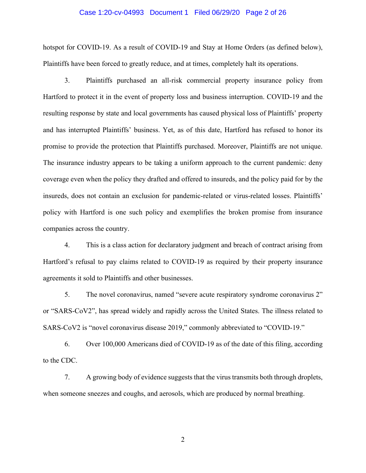### Case 1:20-cv-04993 Document 1 Filed 06/29/20 Page 2 of 26

hotspot for COVID-19. As a result of COVID-19 and Stay at Home Orders (as defined below), Plaintiffs have been forced to greatly reduce, and at times, completely halt its operations.

3. Plaintiffs purchased an all-risk commercial property insurance policy from Hartford to protect it in the event of property loss and business interruption. COVID-19 and the resulting response by state and local governments has caused physical loss of Plaintiffs' property and has interrupted Plaintiffs' business. Yet, as of this date, Hartford has refused to honor its promise to provide the protection that Plaintiffs purchased. Moreover, Plaintiffs are not unique. The insurance industry appears to be taking a uniform approach to the current pandemic: deny coverage even when the policy they drafted and offered to insureds, and the policy paid for by the insureds, does not contain an exclusion for pandemic-related or virus-related losses. Plaintiffs' policy with Hartford is one such policy and exemplifies the broken promise from insurance companies across the country.

4. This is a class action for declaratory judgment and breach of contract arising from Hartford's refusal to pay claims related to COVID-19 as required by their property insurance agreements it sold to Plaintiffs and other businesses.

5. The novel coronavirus, named "severe acute respiratory syndrome coronavirus 2" or "SARS-CoV2", has spread widely and rapidly across the United States. The illness related to SARS-CoV2 is "novel coronavirus disease 2019," commonly abbreviated to "COVID-19."

6. Over 100,000 Americans died of COVID-19 as of the date of this filing, according to the CDC.

7. A growing body of evidence suggests that the virus transmits both through droplets, when someone sneezes and coughs, and aerosols, which are produced by normal breathing.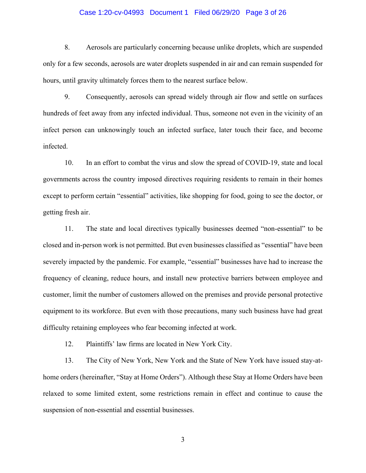### Case 1:20-cv-04993 Document 1 Filed 06/29/20 Page 3 of 26

8. Aerosols are particularly concerning because unlike droplets, which are suspended only for a few seconds, aerosols are water droplets suspended in air and can remain suspended for hours, until gravity ultimately forces them to the nearest surface below.

9. Consequently, aerosols can spread widely through air flow and settle on surfaces hundreds of feet away from any infected individual. Thus, someone not even in the vicinity of an infect person can unknowingly touch an infected surface, later touch their face, and become infected.

10. In an effort to combat the virus and slow the spread of COVID-19, state and local governments across the country imposed directives requiring residents to remain in their homes except to perform certain "essential" activities, like shopping for food, going to see the doctor, or getting fresh air.

11. The state and local directives typically businesses deemed "non-essential" to be closed and in-person work is not permitted. But even businesses classified as "essential" have been severely impacted by the pandemic. For example, "essential" businesses have had to increase the frequency of cleaning, reduce hours, and install new protective barriers between employee and customer, limit the number of customers allowed on the premises and provide personal protective equipment to its workforce. But even with those precautions, many such business have had great difficulty retaining employees who fear becoming infected at work.

12. Plaintiffs' law firms are located in New York City.

13. The City of New York, New York and the State of New York have issued stay-athome orders (hereinafter, "Stay at Home Orders"). Although these Stay at Home Orders have been relaxed to some limited extent, some restrictions remain in effect and continue to cause the suspension of non-essential and essential businesses.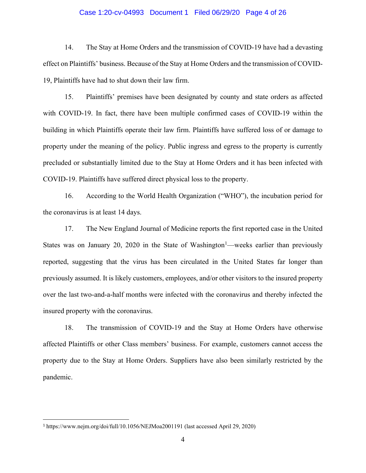### Case 1:20-cv-04993 Document 1 Filed 06/29/20 Page 4 of 26

14. The Stay at Home Orders and the transmission of COVID-19 have had a devasting effect on Plaintiffs' business. Because of the Stay at Home Orders and the transmission of COVID-19, Plaintiffs have had to shut down their law firm.

15. Plaintiffs' premises have been designated by county and state orders as affected with COVID-19. In fact, there have been multiple confirmed cases of COVID-19 within the building in which Plaintiffs operate their law firm. Plaintiffs have suffered loss of or damage to property under the meaning of the policy. Public ingress and egress to the property is currently precluded or substantially limited due to the Stay at Home Orders and it has been infected with COVID-19. Plaintiffs have suffered direct physical loss to the property.

16. According to the World Health Organization ("WHO"), the incubation period for the coronavirus is at least 14 days.

17. The New England Journal of Medicine reports the first reported case in the United States was on January 20, 2020 in the State of Washington<sup>1</sup>—weeks earlier than previously reported, suggesting that the virus has been circulated in the United States far longer than previously assumed. It is likely customers, employees, and/or other visitors to the insured property over the last two-and-a-half months were infected with the coronavirus and thereby infected the insured property with the coronavirus.

18. The transmission of COVID-19 and the Stay at Home Orders have otherwise affected Plaintiffs or other Class members' business. For example, customers cannot access the property due to the Stay at Home Orders. Suppliers have also been similarly restricted by the pandemic.

<sup>1</sup> https://www.nejm.org/doi/full/10.1056/NEJMoa2001191 (last accessed April 29, 2020)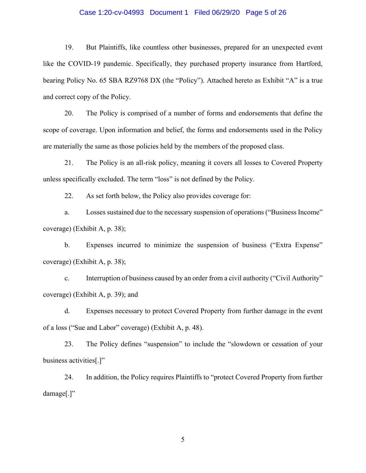### Case 1:20-cv-04993 Document 1 Filed 06/29/20 Page 5 of 26

19. But Plaintiffs, like countless other businesses, prepared for an unexpected event like the COVID-19 pandemic. Specifically, they purchased property insurance from Hartford, bearing Policy No. 65 SBA RZ9768 DX (the "Policy"). Attached hereto as Exhibit "A" is a true and correct copy of the Policy.

20. The Policy is comprised of a number of forms and endorsements that define the scope of coverage. Upon information and belief, the forms and endorsements used in the Policy are materially the same as those policies held by the members of the proposed class.

21. The Policy is an all-risk policy, meaning it covers all losses to Covered Property unless specifically excluded. The term "loss" is not defined by the Policy.

22. As set forth below, the Policy also provides coverage for:

a. Losses sustained due to the necessary suspension of operations ("Business Income" coverage) (Exhibit A, p. 38);

b. Expenses incurred to minimize the suspension of business ("Extra Expense" coverage) (Exhibit A, p. 38);

c. Interruption of business caused by an order from a civil authority ("Civil Authority" coverage) (Exhibit A, p. 39); and

d. Expenses necessary to protect Covered Property from further damage in the event of a loss ("Sue and Labor" coverage) (Exhibit A, p. 48).

23. The Policy defines "suspension" to include the "slowdown or cessation of your business activities[.]"

24. In addition, the Policy requires Plaintiffs to "protect Covered Property from further damage[.]"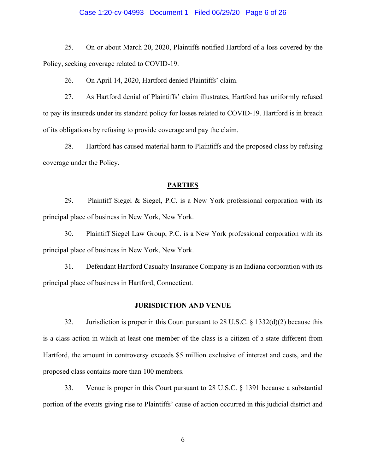### Case 1:20-cv-04993 Document 1 Filed 06/29/20 Page 6 of 26

25. On or about March 20, 2020, Plaintiffs notified Hartford of a loss covered by the Policy, seeking coverage related to COVID-19.

26. On April 14, 2020, Hartford denied Plaintiffs' claim.

27. As Hartford denial of Plaintiffs' claim illustrates, Hartford has uniformly refused to pay its insureds under its standard policy for losses related to COVID-19. Hartford is in breach of its obligations by refusing to provide coverage and pay the claim.

28. Hartford has caused material harm to Plaintiffs and the proposed class by refusing coverage under the Policy.

### **PARTIES**

29. Plaintiff Siegel & Siegel, P.C. is a New York professional corporation with its principal place of business in New York, New York.

30. Plaintiff Siegel Law Group, P.C. is a New York professional corporation with its principal place of business in New York, New York.

31. Defendant Hartford Casualty Insurance Company is an Indiana corporation with its principal place of business in Hartford, Connecticut.

### **JURISDICTION AND VENUE**

32. Jurisdiction is proper in this Court pursuant to 28 U.S.C. § 1332(d)(2) because this is a class action in which at least one member of the class is a citizen of a state different from Hartford, the amount in controversy exceeds \$5 million exclusive of interest and costs, and the proposed class contains more than 100 members.

33. Venue is proper in this Court pursuant to 28 U.S.C. § 1391 because a substantial portion of the events giving rise to Plaintiffs' cause of action occurred in this judicial district and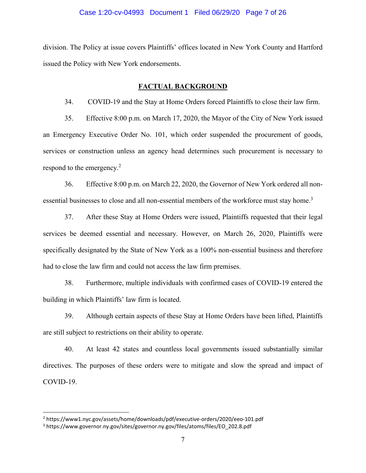### Case 1:20-cv-04993 Document 1 Filed 06/29/20 Page 7 of 26

division. The Policy at issue covers Plaintiffs' offices located in New York County and Hartford issued the Policy with New York endorsements.

### **FACTUAL BACKGROUND**

34. COVID-19 and the Stay at Home Orders forced Plaintiffs to close their law firm.

35. Effective 8:00 p.m. on March 17, 2020, the Mayor of the City of New York issued an Emergency Executive Order No. 101, which order suspended the procurement of goods, services or construction unless an agency head determines such procurement is necessary to respond to the emergency.<sup>2</sup>

36. Effective 8:00 p.m. on March 22, 2020, the Governor of New York ordered all nonessential businesses to close and all non-essential members of the workforce must stay home.<sup>3</sup>

37. After these Stay at Home Orders were issued, Plaintiffs requested that their legal services be deemed essential and necessary. However, on March 26, 2020, Plaintiffs were specifically designated by the State of New York as a 100% non-essential business and therefore had to close the law firm and could not access the law firm premises.

38. Furthermore, multiple individuals with confirmed cases of COVID-19 entered the building in which Plaintiffs' law firm is located.

39. Although certain aspects of these Stay at Home Orders have been lifted, Plaintiffs are still subject to restrictions on their ability to operate.

40. At least 42 states and countless local governments issued substantially similar directives. The purposes of these orders were to mitigate and slow the spread and impact of COVID-19.

<sup>2</sup> https://www1.nyc.gov/assets/home/downloads/pdf/executive-orders/2020/eeo-101.pdf

<sup>3</sup> https://www.governor.ny.gov/sites/governor.ny.gov/files/atoms/files/EO\_202.8.pdf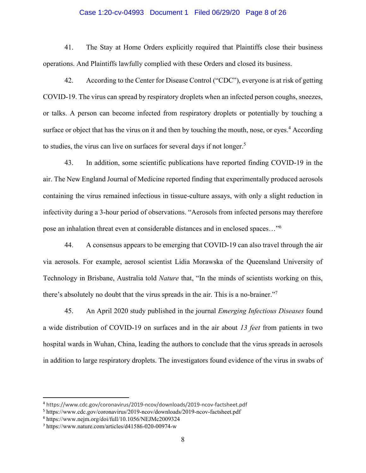#### Case 1:20-cv-04993 Document 1 Filed 06/29/20 Page 8 of 26

41. The Stay at Home Orders explicitly required that Plaintiffs close their business operations. And Plaintiffs lawfully complied with these Orders and closed its business.

42. According to the Center for Disease Control ("CDC"), everyone is at risk of getting COVID-19. The virus can spread by respiratory droplets when an infected person coughs, sneezes, or talks. A person can become infected from respiratory droplets or potentially by touching a surface or object that has the virus on it and then by touching the mouth, nose, or eyes.<sup>4</sup> According to studies, the virus can live on surfaces for several days if not longer.<sup>5</sup>

43. In addition, some scientific publications have reported finding COVID-19 in the air. The New England Journal of Medicine reported finding that experimentally produced aerosols containing the virus remained infectious in tissue-culture assays, with only a slight reduction in infectivity during a 3-hour period of observations. "Aerosols from infected persons may therefore pose an inhalation threat even at considerable distances and in enclosed spaces…"<sup>6</sup>

44. A consensus appears to be emerging that COVID-19 can also travel through the air via aerosols. For example, aerosol scientist Lidia Morawska of the Queensland University of Technology in Brisbane, Australia told *Nature* that, "In the minds of scientists working on this, there's absolutely no doubt that the virus spreads in the air. This is a no-brainer."<sup>7</sup>

45. An April 2020 study published in the journal *Emerging Infectious Diseases* found a wide distribution of COVID-19 on surfaces and in the air about *13 feet* from patients in two hospital wards in Wuhan, China, leading the authors to conclude that the virus spreads in aerosols in addition to large respiratory droplets. The investigators found evidence of the virus in swabs of

<sup>4</sup> https://www.cdc.gov/coronavirus/2019-ncov/downloads/2019-ncov-factsheet.pdf

<sup>5</sup> https://www.cdc.gov/coronavirus/2019-ncov/downloads/2019-ncov-factsheet.pdf

<sup>6</sup> https://www.nejm.org/doi/full/10.1056/NEJMc2009324

<sup>7</sup> https://www.nature.com/articles/d41586-020-00974-w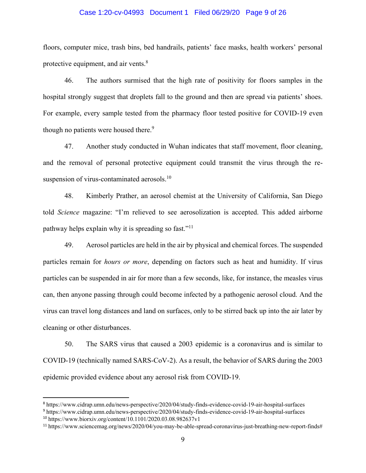### Case 1:20-cv-04993 Document 1 Filed 06/29/20 Page 9 of 26

floors, computer mice, trash bins, bed handrails, patients' face masks, health workers' personal protective equipment, and air vents.<sup>8</sup>

46. The authors surmised that the high rate of positivity for floors samples in the hospital strongly suggest that droplets fall to the ground and then are spread via patients' shoes. For example, every sample tested from the pharmacy floor tested positive for COVID-19 even though no patients were housed there.<sup>9</sup>

47. Another study conducted in Wuhan indicates that staff movement, floor cleaning, and the removal of personal protective equipment could transmit the virus through the resuspension of virus-contaminated aerosols.<sup>10</sup>

48. Kimberly Prather, an aerosol chemist at the University of California, San Diego told *Science* magazine: "I'm relieved to see aerosolization is accepted. This added airborne pathway helps explain why it is spreading so fast."<sup>11</sup>

49. Aerosol particles are held in the air by physical and chemical forces. The suspended particles remain for *hours or more*, depending on factors such as heat and humidity. If virus particles can be suspended in air for more than a few seconds, like, for instance, the measles virus can, then anyone passing through could become infected by a pathogenic aerosol cloud. And the virus can travel long distances and land on surfaces, only to be stirred back up into the air later by cleaning or other disturbances.

50. The SARS virus that caused a 2003 epidemic is a coronavirus and is similar to COVID-19 (technically named SARS-CoV-2). As a result, the behavior of SARS during the 2003 epidemic provided evidence about any aerosol risk from COVID-19.

<sup>8</sup> https://www.cidrap.umn.edu/news-perspective/2020/04/study-finds-evidence-covid-19-air-hospital-surfaces

<sup>9</sup> https://www.cidrap.umn.edu/news-perspective/2020/04/study-finds-evidence-covid-19-air-hospital-surfaces <sup>10</sup> https://www.biorxiv.org/content/10.1101/2020.03.08.982637v1

<sup>11</sup> https://www.sciencemag.org/news/2020/04/you-may-be-able-spread-coronavirus-just-breathing-new-report-finds#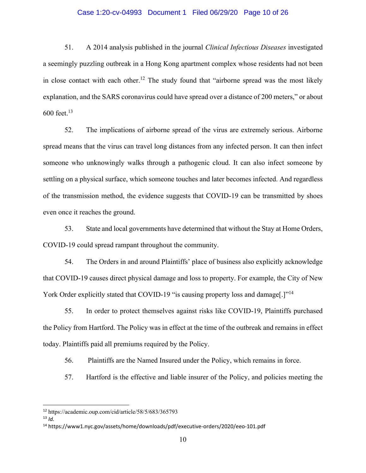### Case 1:20-cv-04993 Document 1 Filed 06/29/20 Page 10 of 26

51. A 2014 analysis published in the journal *Clinical Infectious Diseases* investigated a seemingly puzzling outbreak in a Hong Kong apartment complex whose residents had not been in close contact with each other.<sup>12</sup> The study found that "airborne spread was the most likely explanation, and the SARS coronavirus could have spread over a distance of 200 meters," or about 600 feet. $13$ 

52. The implications of airborne spread of the virus are extremely serious. Airborne spread means that the virus can travel long distances from any infected person. It can then infect someone who unknowingly walks through a pathogenic cloud. It can also infect someone by settling on a physical surface, which someone touches and later becomes infected. And regardless of the transmission method, the evidence suggests that COVID-19 can be transmitted by shoes even once it reaches the ground.

53. State and local governments have determined that without the Stay at Home Orders, COVID-19 could spread rampant throughout the community.

54. The Orders in and around Plaintiffs' place of business also explicitly acknowledge that COVID-19 causes direct physical damage and loss to property. For example, the City of New York Order explicitly stated that COVID-19 "is causing property loss and damage.]"<sup>14</sup>

55. In order to protect themselves against risks like COVID-19, Plaintiffs purchased the Policy from Hartford. The Policy was in effect at the time of the outbreak and remains in effect today. Plaintiffs paid all premiums required by the Policy.

56. Plaintiffs are the Named Insured under the Policy, which remains in force.

57. Hartford is the effective and liable insurer of the Policy, and policies meeting the

<sup>12</sup> https://academic.oup.com/cid/article/58/5/683/365793

 $13$  *Id.* 

<sup>14</sup> https://www1.nyc.gov/assets/home/downloads/pdf/executive-orders/2020/eeo-101.pdf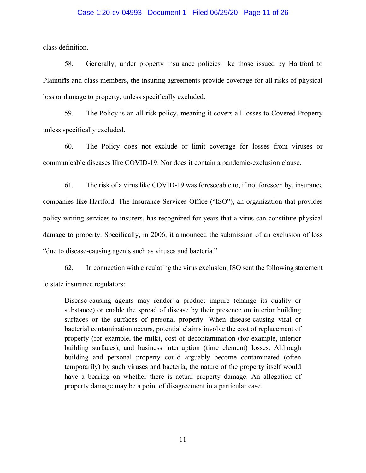### Case 1:20-cv-04993 Document 1 Filed 06/29/20 Page 11 of 26

class definition.

58. Generally, under property insurance policies like those issued by Hartford to Plaintiffs and class members, the insuring agreements provide coverage for all risks of physical loss or damage to property, unless specifically excluded.

59. The Policy is an all-risk policy, meaning it covers all losses to Covered Property unless specifically excluded.

60. The Policy does not exclude or limit coverage for losses from viruses or communicable diseases like COVID-19. Nor does it contain a pandemic-exclusion clause.

61. The risk of a virus like COVID-19 was foreseeable to, if not foreseen by, insurance companies like Hartford. The Insurance Services Office ("ISO"), an organization that provides policy writing services to insurers, has recognized for years that a virus can constitute physical damage to property. Specifically, in 2006, it announced the submission of an exclusion of loss "due to disease-causing agents such as viruses and bacteria."

62. In connection with circulating the virus exclusion, ISO sent the following statement to state insurance regulators:

Disease-causing agents may render a product impure (change its quality or substance) or enable the spread of disease by their presence on interior building surfaces or the surfaces of personal property. When disease-causing viral or bacterial contamination occurs, potential claims involve the cost of replacement of property (for example, the milk), cost of decontamination (for example, interior building surfaces), and business interruption (time element) losses. Although building and personal property could arguably become contaminated (often temporarily) by such viruses and bacteria, the nature of the property itself would have a bearing on whether there is actual property damage. An allegation of property damage may be a point of disagreement in a particular case.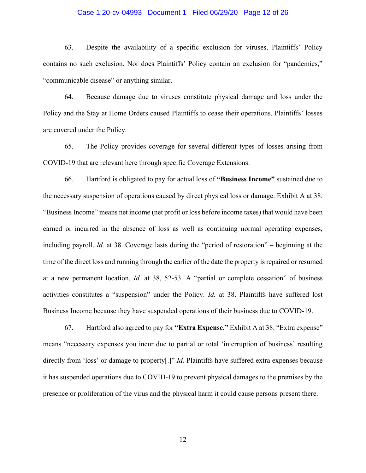### Case 1:20-cv-04993 Document 1 Filed 06/29/20 Page 12 of 26

63. Despite the availability of a specific exclusion for viruses, Plaintiffs' Policy contains no such exclusion. Nor does Plaintiffs' Policy contain an exclusion for "pandemics," "communicable disease" or anything similar.

64. Because damage due to viruses constitute physical damage and loss under the Policy and the Stay at Home Orders caused Plaintiffs to cease their operations. Plaintiffs' losses are covered under the Policy.

65. The Policy provides coverage for several different types of losses arising from COVID-19 that are relevant here through specific Coverage Extensions.

66. Hartford is obligated to pay for actual loss of **"Business Income"** sustained due to the necessary suspension of operations caused by direct physical loss or damage. Exhibit A at 38. "Business Income" means net income (net profit or loss before income taxes) that would have been earned or incurred in the absence of loss as well as continuing normal operating expenses, including payroll. *Id.* at 38. Coverage lasts during the "period of restoration" – beginning at the time of the direct loss and running through the earlier of the date the property is repaired or resumed at a new permanent location. *Id.* at 38, 52-53. A "partial or complete cessation" of business activities constitutes a "suspension" under the Policy. *Id.* at 38. Plaintiffs have suffered lost Business Income because they have suspended operations of their business due to COVID-19.

67. Hartford also agreed to pay for **"Extra Expense."** Exhibit A at 38. "Extra expense" means "necessary expenses you incur due to partial or total 'interruption of business' resulting directly from 'loss' or damage to property[.]" *Id.* Plaintiffs have suffered extra expenses because it has suspended operations due to COVID-19 to prevent physical damages to the premises by the presence or proliferation of the virus and the physical harm it could cause persons present there.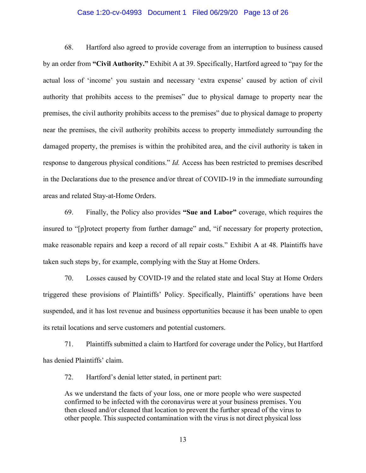#### Case 1:20-cv-04993 Document 1 Filed 06/29/20 Page 13 of 26

68. Hartford also agreed to provide coverage from an interruption to business caused by an order from **"Civil Authority."** Exhibit A at 39. Specifically, Hartford agreed to "pay for the actual loss of 'income' you sustain and necessary 'extra expense' caused by action of civil authority that prohibits access to the premises" due to physical damage to property near the premises, the civil authority prohibits access to the premises" due to physical damage to property near the premises, the civil authority prohibits access to property immediately surrounding the damaged property, the premises is within the prohibited area, and the civil authority is taken in response to dangerous physical conditions." *Id.* Access has been restricted to premises described in the Declarations due to the presence and/or threat of COVID-19 in the immediate surrounding areas and related Stay-at-Home Orders.

69. Finally, the Policy also provides **"Sue and Labor"** coverage, which requires the insured to "[p]rotect property from further damage" and, "if necessary for property protection, make reasonable repairs and keep a record of all repair costs." Exhibit A at 48. Plaintiffs have taken such steps by, for example, complying with the Stay at Home Orders.

70. Losses caused by COVID-19 and the related state and local Stay at Home Orders triggered these provisions of Plaintiffs' Policy. Specifically, Plaintiffs' operations have been suspended, and it has lost revenue and business opportunities because it has been unable to open its retail locations and serve customers and potential customers.

71. Plaintiffs submitted a claim to Hartford for coverage under the Policy, but Hartford has denied Plaintiffs' claim.

72. Hartford's denial letter stated, in pertinent part:

As we understand the facts of your loss, one or more people who were suspected confirmed to be infected with the coronavirus were at your business premises. You then closed and/or cleaned that location to prevent the further spread of the virus to other people. This suspected contamination with the virus is not direct physical loss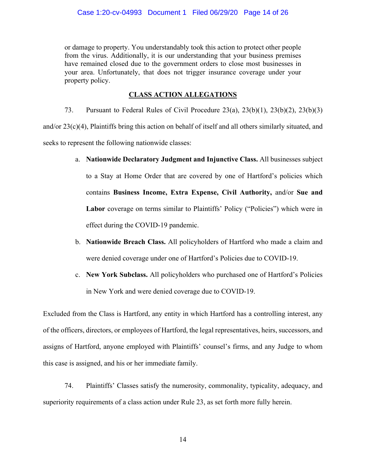or damage to property. You understandably took this action to protect other people from the virus. Additionally, it is our understanding that your business premises have remained closed due to the government orders to close most businesses in your area. Unfortunately, that does not trigger insurance coverage under your property policy.

# **CLASS ACTION ALLEGATIONS**

73. Pursuant to Federal Rules of Civil Procedure 23(a), 23(b)(1), 23(b)(2), 23(b)(3) and/or 23(c)(4), Plaintiffs bring this action on behalf of itself and all others similarly situated, and seeks to represent the following nationwide classes:

- a. **Nationwide Declaratory Judgment and Injunctive Class.** All businesses subject to a Stay at Home Order that are covered by one of Hartford's policies which contains **Business Income, Extra Expense, Civil Authority,** and/or **Sue and**  Labor coverage on terms similar to Plaintiffs' Policy ("Policies") which were in effect during the COVID-19 pandemic.
- b. **Nationwide Breach Class.** All policyholders of Hartford who made a claim and were denied coverage under one of Hartford's Policies due to COVID-19.
- c. **New York Subclass.** All policyholders who purchased one of Hartford's Policies in New York and were denied coverage due to COVID-19.

Excluded from the Class is Hartford, any entity in which Hartford has a controlling interest, any of the officers, directors, or employees of Hartford, the legal representatives, heirs, successors, and assigns of Hartford, anyone employed with Plaintiffs' counsel's firms, and any Judge to whom this case is assigned, and his or her immediate family.

74. Plaintiffs' Classes satisfy the numerosity, commonality, typicality, adequacy, and superiority requirements of a class action under Rule 23, as set forth more fully herein.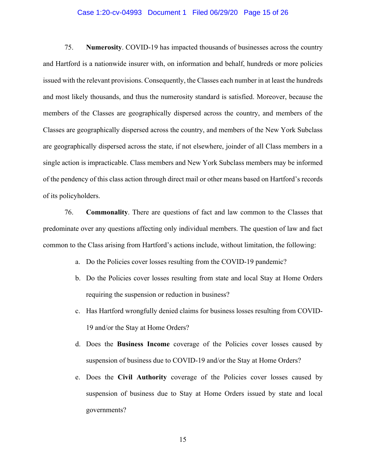### Case 1:20-cv-04993 Document 1 Filed 06/29/20 Page 15 of 26

75. **Numerosity**. COVID-19 has impacted thousands of businesses across the country and Hartford is a nationwide insurer with, on information and behalf, hundreds or more policies issued with the relevant provisions. Consequently, the Classes each number in at least the hundreds and most likely thousands, and thus the numerosity standard is satisfied. Moreover, because the members of the Classes are geographically dispersed across the country, and members of the Classes are geographically dispersed across the country, and members of the New York Subclass are geographically dispersed across the state, if not elsewhere, joinder of all Class members in a single action is impracticable. Class members and New York Subclass members may be informed of the pendency of this class action through direct mail or other means based on Hartford's records of its policyholders.

76. **Commonality**. There are questions of fact and law common to the Classes that predominate over any questions affecting only individual members. The question of law and fact common to the Class arising from Hartford's actions include, without limitation, the following:

- a. Do the Policies cover losses resulting from the COVID-19 pandemic?
- b. Do the Policies cover losses resulting from state and local Stay at Home Orders requiring the suspension or reduction in business?
- c. Has Hartford wrongfully denied claims for business losses resulting from COVID-19 and/or the Stay at Home Orders?
- d. Does the **Business Income** coverage of the Policies cover losses caused by suspension of business due to COVID-19 and/or the Stay at Home Orders?
- e. Does the **Civil Authority** coverage of the Policies cover losses caused by suspension of business due to Stay at Home Orders issued by state and local governments?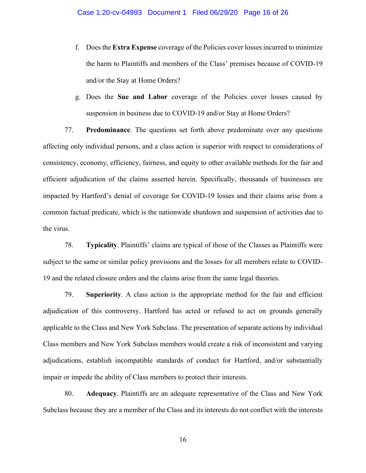- f. Does the **Extra Expense** coverage of the Policies cover losses incurred to minimize the harm to Plaintiffs and members of the Class' premises because of COVID-19 and/or the Stay at Home Orders?
- g. Does the **Sue and Labor** coverage of the Policies cover losses caused by suspension in business due to COVID-19 and/or Stay at Home Orders?

77. **Predominance**. The questions set forth above predominate over any questions affecting only individual persons, and a class action is superior with respect to considerations of consistency, economy, efficiency, fairness, and equity to other available methods for the fair and efficient adjudication of the claims asserted herein. Specifically, thousands of businesses are impacted by Hartford's denial of coverage for COVID-19 losses and their claims arise from a common factual predicate, which is the nationwide shutdown and suspension of activities due to the virus.

78. **Typicality**. Plaintiffs' claims are typical of those of the Classes as Plaintiffs were subject to the same or similar policy provisions and the losses for all members relate to COVID-19 and the related closure orders and the claims arise from the same legal theories.

79. **Superiority**. A class action is the appropriate method for the fair and efficient adjudication of this controversy. Hartford has acted or refused to act on grounds generally applicable to the Class and New York Subclass. The presentation of separate actions by individual Class members and New York Subclass members would create a risk of inconsistent and varying adjudications, establish incompatible standards of conduct for Hartford, and/or substantially impair or impede the ability of Class members to protect their interests.

80. **Adequacy**. Plaintiffs are an adequate representative of the Class and New York Subclass because they are a member of the Class and its interests do not conflict with the interests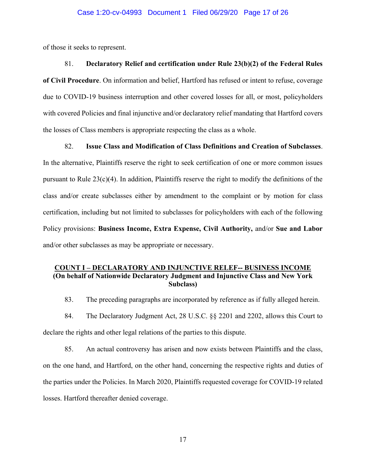of those it seeks to represent.

### 81. **Declaratory Relief and certification under Rule 23(b)(2) of the Federal Rules**

**of Civil Procedure**. On information and belief, Hartford has refused or intent to refuse, coverage due to COVID-19 business interruption and other covered losses for all, or most, policyholders with covered Policies and final injunctive and/or declaratory relief mandating that Hartford covers the losses of Class members is appropriate respecting the class as a whole.

82. **Issue Class and Modification of Class Definitions and Creation of Subclasses**.

In the alternative, Plaintiffs reserve the right to seek certification of one or more common issues pursuant to Rule 23(c)(4). In addition, Plaintiffs reserve the right to modify the definitions of the class and/or create subclasses either by amendment to the complaint or by motion for class certification, including but not limited to subclasses for policyholders with each of the following Policy provisions: **Business Income, Extra Expense, Civil Authority,** and/or **Sue and Labor**  and/or other subclasses as may be appropriate or necessary.

### **COUNT I – DECLARATORY AND INJUNCTIVE RELEF-- BUSINESS INCOME (On behalf of Nationwide Declaratory Judgment and Injunctive Class and New York Subclass)**

83. The preceding paragraphs are incorporated by reference as if fully alleged herein.

84. The Declaratory Judgment Act, 28 U.S.C. §§ 2201 and 2202, allows this Court to declare the rights and other legal relations of the parties to this dispute.

85. An actual controversy has arisen and now exists between Plaintiffs and the class, on the one hand, and Hartford, on the other hand, concerning the respective rights and duties of the parties under the Policies. In March 2020, Plaintiffs requested coverage for COVID-19 related losses. Hartford thereafter denied coverage.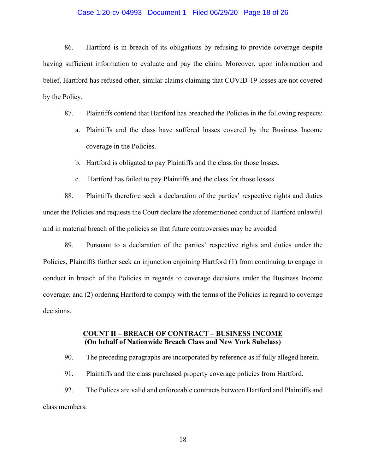### Case 1:20-cv-04993 Document 1 Filed 06/29/20 Page 18 of 26

86. Hartford is in breach of its obligations by refusing to provide coverage despite having sufficient information to evaluate and pay the claim. Moreover, upon information and belief, Hartford has refused other, similar claims claiming that COVID-19 losses are not covered by the Policy.

- 87. Plaintiffs contend that Hartford has breached the Policies in the following respects:
	- a. Plaintiffs and the class have suffered losses covered by the Business Income coverage in the Policies.
	- b. Hartford is obligated to pay Plaintiffs and the class for those losses.
	- c. Hartford has failed to pay Plaintiffs and the class for those losses.

88. Plaintiffs therefore seek a declaration of the parties' respective rights and duties under the Policies and requests the Court declare the aforementioned conduct of Hartford unlawful and in material breach of the policies so that future controversies may be avoided.

89. Pursuant to a declaration of the parties' respective rights and duties under the Policies, Plaintiffs further seek an injunction enjoining Hartford (1) from continuing to engage in conduct in breach of the Policies in regards to coverage decisions under the Business Income coverage; and (2) ordering Hartford to comply with the terms of the Policies in regard to coverage decisions.

### **COUNT II – BREACH OF CONTRACT – BUSINESS INCOME (On behalf of Nationwide Breach Class and New York Subclass)**

90. The preceding paragraphs are incorporated by reference as if fully alleged herein.

91. Plaintiffs and the class purchased property coverage policies from Hartford.

92. The Polices are valid and enforceable contracts between Hartford and Plaintiffs and class members.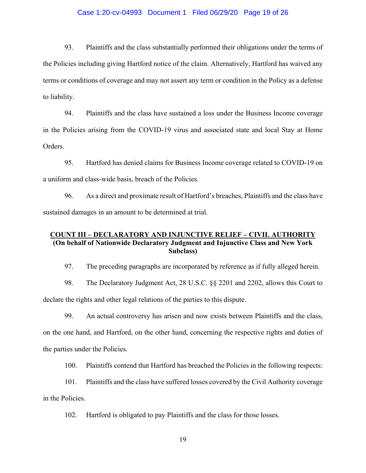### Case 1:20-cv-04993 Document 1 Filed 06/29/20 Page 19 of 26

93. Plaintiffs and the class substantially performed their obligations under the terms of the Policies including giving Hartford notice of the claim. Alternatively, Hartford has waived any terms or conditions of coverage and may not assert any term or condition in the Policy as a defense to liability.

94. Plaintiffs and the class have sustained a loss under the Business Income coverage in the Policies arising from the COVID-19 virus and associated state and local Stay at Home Orders.

95. Hartford has denied claims for Business Income coverage related to COVID-19 on a uniform and class-wide basis, breach of the Policies.

96. As a direct and proximate result of Hartford's breaches, Plaintiffs and the class have sustained damages in an amount to be determined at trial.

## **COUNT III – DECLARATORY AND INJUNCTIVE RELIEF – CIVIL AUTHORITY (On behalf of Nationwide Declaratory Judgment and Injunctive Class and New York Subclass)**

97. The preceding paragraphs are incorporated by reference as if fully alleged herein.

98. The Declaratory Judgment Act, 28 U.S.C. §§ 2201 and 2202, allows this Court to declare the rights and other legal relations of the parties to this dispute.

99. An actual controversy has arisen and now exists between Plaintiffs and the class, on the one hand, and Hartford, on the other hand, concerning the respective rights and duties of the parties under the Policies.

100. Plaintiffs contend that Hartford has breached the Policies in the following respects:

101. Plaintiffs and the class have suffered losses covered by the Civil Authority coverage in the Policies.

102. Hartford is obligated to pay Plaintiffs and the class for those losses.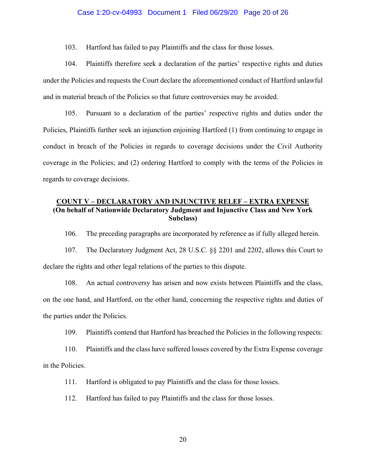### Case 1:20-cv-04993 Document 1 Filed 06/29/20 Page 20 of 26

103. Hartford has failed to pay Plaintiffs and the class for those losses.

104. Plaintiffs therefore seek a declaration of the parties' respective rights and duties under the Policies and requests the Court declare the aforementioned conduct of Hartford unlawful and in material breach of the Policies so that future controversies may be avoided.

105. Pursuant to a declaration of the parties' respective rights and duties under the Policies, Plaintiffs further seek an injunction enjoining Hartford (1) from continuing to engage in conduct in breach of the Policies in regards to coverage decisions under the Civil Authority coverage in the Policies; and (2) ordering Hartford to comply with the terms of the Policies in regards to coverage decisions.

## **COUNT V – DECLARATORY AND INJUNCTIVE RELEF – EXTRA EXPENSE (On behalf of Nationwide Declaratory Judgment and Injunctive Class and New York Subclass)**

106. The preceding paragraphs are incorporated by reference as if fully alleged herein.

107. The Declaratory Judgment Act, 28 U.S.C. §§ 2201 and 2202, allows this Court to declare the rights and other legal relations of the parties to this dispute.

108. An actual controversy has arisen and now exists between Plaintiffs and the class, on the one hand, and Hartford, on the other hand, concerning the respective rights and duties of the parties under the Policies.

109. Plaintiffs contend that Hartford has breached the Policies in the following respects:

110. Plaintiffs and the class have suffered losses covered by the Extra Expense coverage in the Policies.

111. Hartford is obligated to pay Plaintiffs and the class for those losses.

112. Hartford has failed to pay Plaintiffs and the class for those losses.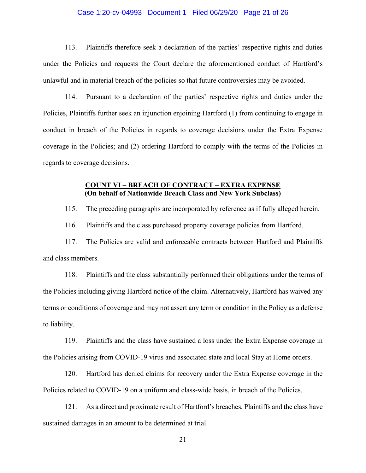### Case 1:20-cv-04993 Document 1 Filed 06/29/20 Page 21 of 26

113. Plaintiffs therefore seek a declaration of the parties' respective rights and duties under the Policies and requests the Court declare the aforementioned conduct of Hartford's unlawful and in material breach of the policies so that future controversies may be avoided.

114. Pursuant to a declaration of the parties' respective rights and duties under the Policies, Plaintiffs further seek an injunction enjoining Hartford (1) from continuing to engage in conduct in breach of the Policies in regards to coverage decisions under the Extra Expense coverage in the Policies; and (2) ordering Hartford to comply with the terms of the Policies in regards to coverage decisions.

### **COUNT VI – BREACH OF CONTRACT – EXTRA EXPENSE (On behalf of Nationwide Breach Class and New York Subclass)**

115. The preceding paragraphs are incorporated by reference as if fully alleged herein.

116. Plaintiffs and the class purchased property coverage policies from Hartford.

117. The Policies are valid and enforceable contracts between Hartford and Plaintiffs and class members.

118. Plaintiffs and the class substantially performed their obligations under the terms of the Policies including giving Hartford notice of the claim. Alternatively, Hartford has waived any terms or conditions of coverage and may not assert any term or condition in the Policy as a defense to liability.

119. Plaintiffs and the class have sustained a loss under the Extra Expense coverage in the Policies arising from COVID-19 virus and associated state and local Stay at Home orders.

120. Hartford has denied claims for recovery under the Extra Expense coverage in the Policies related to COVID-19 on a uniform and class-wide basis, in breach of the Policies.

121. As a direct and proximate result of Hartford's breaches, Plaintiffs and the class have sustained damages in an amount to be determined at trial.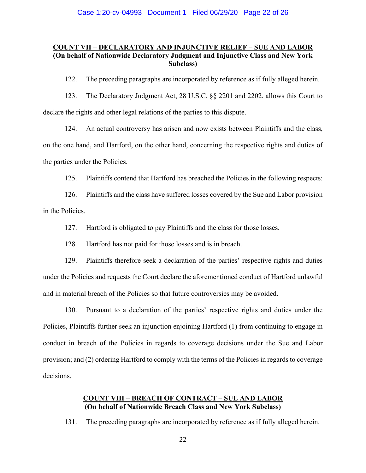### **COUNT VII – DECLARATORY AND INJUNCTIVE RELIEF – SUE AND LABOR (On behalf of Nationwide Declaratory Judgment and Injunctive Class and New York Subclass)**

122. The preceding paragraphs are incorporated by reference as if fully alleged herein.

123. The Declaratory Judgment Act, 28 U.S.C. §§ 2201 and 2202, allows this Court to declare the rights and other legal relations of the parties to this dispute.

124. An actual controversy has arisen and now exists between Plaintiffs and the class, on the one hand, and Hartford, on the other hand, concerning the respective rights and duties of the parties under the Policies.

125. Plaintiffs contend that Hartford has breached the Policies in the following respects:

126. Plaintiffs and the class have suffered losses covered by the Sue and Labor provision in the Policies.

127. Hartford is obligated to pay Plaintiffs and the class for those losses.

128. Hartford has not paid for those losses and is in breach.

129. Plaintiffs therefore seek a declaration of the parties' respective rights and duties under the Policies and requests the Court declare the aforementioned conduct of Hartford unlawful and in material breach of the Policies so that future controversies may be avoided.

130. Pursuant to a declaration of the parties' respective rights and duties under the Policies, Plaintiffs further seek an injunction enjoining Hartford (1) from continuing to engage in conduct in breach of the Policies in regards to coverage decisions under the Sue and Labor provision; and (2) ordering Hartford to comply with the terms of the Policies in regards to coverage decisions.

### **COUNT VIII – BREACH OF CONTRACT – SUE AND LABOR (On behalf of Nationwide Breach Class and New York Subclass)**

131. The preceding paragraphs are incorporated by reference as if fully alleged herein.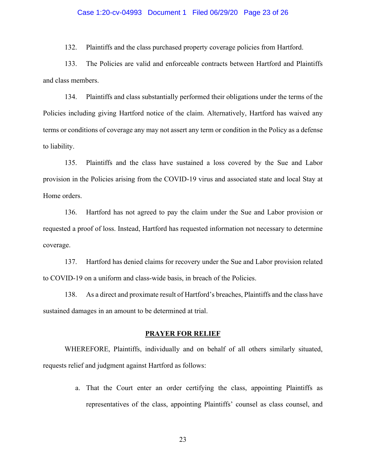### Case 1:20-cv-04993 Document 1 Filed 06/29/20 Page 23 of 26

132. Plaintiffs and the class purchased property coverage policies from Hartford.

133. The Policies are valid and enforceable contracts between Hartford and Plaintiffs and class members.

134. Plaintiffs and class substantially performed their obligations under the terms of the Policies including giving Hartford notice of the claim. Alternatively, Hartford has waived any terms or conditions of coverage any may not assert any term or condition in the Policy as a defense to liability.

135. Plaintiffs and the class have sustained a loss covered by the Sue and Labor provision in the Policies arising from the COVID-19 virus and associated state and local Stay at Home orders.

136. Hartford has not agreed to pay the claim under the Sue and Labor provision or requested a proof of loss. Instead, Hartford has requested information not necessary to determine coverage.

137. Hartford has denied claims for recovery under the Sue and Labor provision related to COVID-19 on a uniform and class-wide basis, in breach of the Policies.

138. As a direct and proximate result of Hartford's breaches, Plaintiffs and the class have sustained damages in an amount to be determined at trial.

#### **PRAYER FOR RELIEF**

WHEREFORE, Plaintiffs, individually and on behalf of all others similarly situated, requests relief and judgment against Hartford as follows:

> a. That the Court enter an order certifying the class, appointing Plaintiffs as representatives of the class, appointing Plaintiffs' counsel as class counsel, and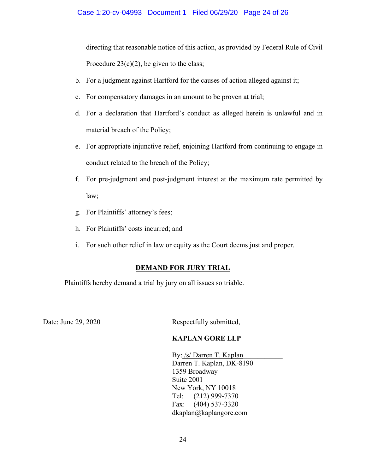directing that reasonable notice of this action, as provided by Federal Rule of Civil Procedure  $23(c)(2)$ , be given to the class;

- b. For a judgment against Hartford for the causes of action alleged against it;
- c. For compensatory damages in an amount to be proven at trial;
- d. For a declaration that Hartford's conduct as alleged herein is unlawful and in material breach of the Policy;
- e. For appropriate injunctive relief, enjoining Hartford from continuing to engage in conduct related to the breach of the Policy;
- f. For pre-judgment and post-judgment interest at the maximum rate permitted by law;
- g. For Plaintiffs' attorney's fees;
- h. For Plaintiffs' costs incurred; and
- i. For such other relief in law or equity as the Court deems just and proper.

# **DEMAND FOR JURY TRIAL**

Plaintiffs hereby demand a trial by jury on all issues so triable.

Date: June 29, 2020 Respectfully submitted,

# **KAPLAN GORE LLP**

By: /s/ Darren T. Kaplan Darren T. Kaplan, DK-8190 1359 Broadway Suite 2001 New York, NY 10018 Tel: (212) 999-7370 Fax: (404) 537-3320 dkaplan@kaplangore.com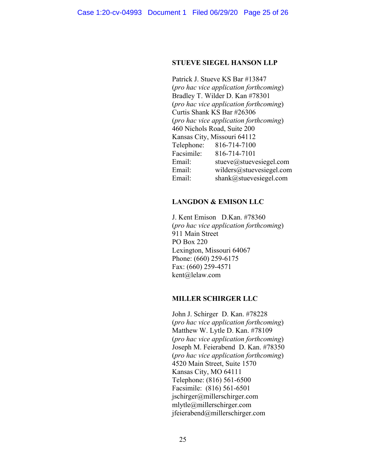### **STUEVE SIEGEL HANSON LLP**

Patrick J. Stueve KS Bar #13847 (*pro hac vice application forthcoming*) Bradley T. Wilder D. Kan #78301 (*pro hac vice application forthcoming*) Curtis Shank KS Bar #26306 (*pro hac vice application forthcoming*) 460 Nichols Road, Suite 200 Kansas City, Missouri 64112<br>Telephone: 816-714-7100 Telephone: 816-714-7100 Facsimile: 816-714-7101 Email: stueve@stuevesiegel.com Email: wilders@stuevesiegel.com Email: shank@stuevesiegel.com

### **LANGDON & EMISON LLC**

J. Kent Emison D.Kan. #78360 (*pro hac vice application forthcoming*) 911 Main Street PO Box 220 Lexington, Missouri 64067 Phone: (660) 259-6175 Fax: (660) 259-4571 kent@lelaw.com

### **MILLER SCHIRGER LLC**

John J. Schirger D. Kan. #78228 (*pro hac vice application forthcoming*) Matthew W. Lytle D. Kan. #78109 (*pro hac vice application forthcoming*) Joseph M. Feierabend D. Kan. #78350 (*pro hac vice application forthcoming*) 4520 Main Street, Suite 1570 Kansas City, MO 64111 Telephone: (816) 561-6500 Facsimile: (816) 561-6501 jschirger@millerschirger.com mlytle@millerschirger.com jfeierabend@millerschirger.com